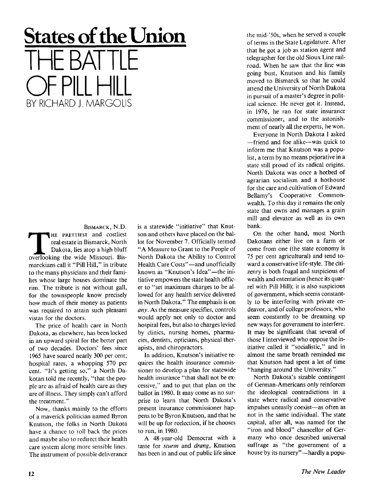## **States of the Union** THE BATTLE  $\vert\vert\vert$   $\vert\vert$ BY RICHARD LAARGOLIS

BISMARCK, N.D. THE PRETTIEST and costliest real estate in Bismarck, North Dakota, lies atop a high bluff<br>overlooking the wide Missouri. Bis-HE PRETTIEST and costliest real estate in Bismarck, North Dakota, lies atop a high bluff marckians call it "Pill Hill," in tribute to the many physicians and their families whose large houses dominate the rim. The tribute is not without gall, for the townspeople know precisely how much of their money as patients was required to attain such pleasant vistas for the doctors.

The price of health care in North Dakota, as elsewhere, has been locked in an upward spiral for the better part of two decades. Doctors' fees since 1965 have soared nearly 300 per cent; hospital rates, a whopping 570 per cent. "It's getting so," a North Dakotan told me recently, "that the people are as afraid of health care as they are of illness. They simply can't afford the treatment."

Now, thanks mainly to the efforts of a maverick politician named Byron Knutson, the folks in North Dakota have a chance to roll back the prices and maybe also to redirect their health care system along more sensible lines. The instrument of possible deliverance is a statewide "initiative" that Knutson and others have placed on the ballot for November 7. Officially termed "A Measure to Grant to the People of North Dakota the Ability to Control Health Care Costs"—and unofficially known as "Knutson's Idea"—the initiative empowers the state health officer to "set maximum charges to be allowed for any health service delivered in North Dakota." The emphasis is on *any.* As the measure specifies, controls would apply not only to doctor and hospital fees, but also to charges levied by clinics, nursing homes, pharmacies, dentists, opticians, physical therapists, and chiropractors.

In addition, Knutson's initiative requires the health insurance commissioner to develop a plan for statewide health insurance "that shall not be excessive," and to put that plan on the ballot in 1980. It may come as no surprise to learn that North Dakota's present insurance commissioner happens to be Byron Knutson, and that he will be up for reelection, if he chooses to run, in 1980.

A 48-year-old Democrat with a taste for *sturm* and *drang,* Knutson has been in and out of public life since

the mid-'50s, when he served a couple of terms in the State Legislature. After that he got a job as station agent and telegrapher for the old Sioux Line railroad. When he saw that the line was going bust, Knutson and his family moved to Bismarck so that he could attend the University of North Dakota in pursuit of a master's degree in political science. He never got it. Instead, in 1976, he ran for state insurance commissioner, and to the astonishment of nearly all the experts, he won.

Everyone in North Dakota I asked —friend and foe alike—was quick to inform me that Knutson was a populist, a term by no means pejorative in a state still proud of its radical origins. North Dakota was once a hotbed of agrarian socialism and a hothouse for the care and cultivation of Edward Bellamy's Cooperative Commonwealth. To this day it remains the only state that owns and manages a grain mill and elevator as well as its own bank.

On the other hand, most North Dakotans either live on a farm or come from one (the state economy is 75 per cent agricultural) and tend toward a conservative life-style. The citizenry is both frugal and suspicious of wealth and ostentation (hence its quarrel with Pill Hill); it is also suspicious of government, which seems constantly to be interfering with private endeavor, and of college professors, who seem constantly to be dreaming up new ways for government to interfere. It may be significant that several of those I interviewed who oppose the initiative called it "socialistic," and in almost the same breath reminded me that Knutson had spent a lot of time "hanging around the University."

North Dakota's sizable contingent of German-Americans only reinforces the ideological contradictions in a state where radical and conservative impulses uneasily coexist—as often as not in the same individual. The state capital, after all, was named for the "iron and blood" chancellor of Germany who once described universal suffrage as "the government of a house by its nursery"—hardly a popu